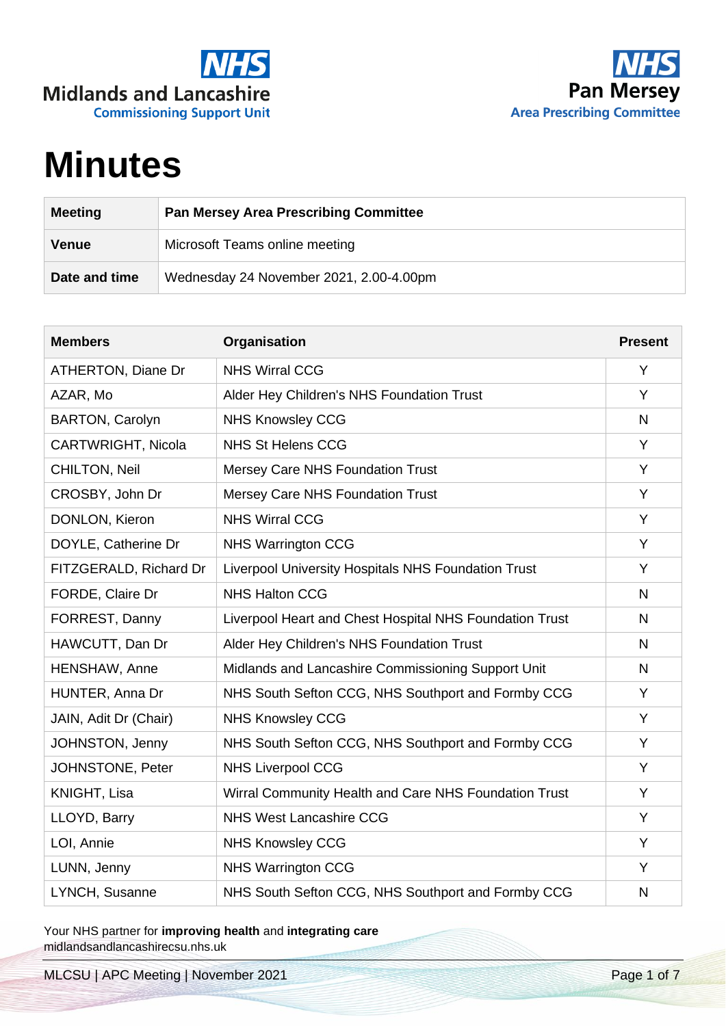



## **Minutes**

| <b>Meeting</b> | <b>Pan Mersey Area Prescribing Committee</b> |
|----------------|----------------------------------------------|
| <b>Venue</b>   | Microsoft Teams online meeting               |
| Date and time  | Wednesday 24 November 2021, 2.00-4.00pm      |

| <b>Members</b>            | Organisation                                            | <b>Present</b> |
|---------------------------|---------------------------------------------------------|----------------|
| <b>ATHERTON, Diane Dr</b> | <b>NHS Wirral CCG</b>                                   | Y              |
| AZAR, Mo                  | Alder Hey Children's NHS Foundation Trust               | Y              |
| <b>BARTON, Carolyn</b>    | <b>NHS Knowsley CCG</b>                                 | N              |
| CARTWRIGHT, Nicola        | <b>NHS St Helens CCG</b>                                | Y              |
| <b>CHILTON, Neil</b>      | <b>Mersey Care NHS Foundation Trust</b>                 | Y              |
| CROSBY, John Dr           | Mersey Care NHS Foundation Trust                        | Y              |
| DONLON, Kieron            | <b>NHS Wirral CCG</b>                                   | Y              |
| DOYLE, Catherine Dr       | <b>NHS Warrington CCG</b>                               | Y              |
| FITZGERALD, Richard Dr    | Liverpool University Hospitals NHS Foundation Trust     | Y              |
| FORDE, Claire Dr          | <b>NHS Halton CCG</b>                                   | N              |
| FORREST, Danny            | Liverpool Heart and Chest Hospital NHS Foundation Trust | N              |
| HAWCUTT, Dan Dr           | Alder Hey Children's NHS Foundation Trust               | N              |
| HENSHAW, Anne             | Midlands and Lancashire Commissioning Support Unit      | N              |
| HUNTER, Anna Dr           | NHS South Sefton CCG, NHS Southport and Formby CCG      | Y              |
| JAIN, Adit Dr (Chair)     | <b>NHS Knowsley CCG</b>                                 | Y              |
| JOHNSTON, Jenny           | NHS South Sefton CCG, NHS Southport and Formby CCG      | Y              |
| JOHNSTONE, Peter          | <b>NHS Liverpool CCG</b>                                | Y              |
| KNIGHT, Lisa              | Wirral Community Health and Care NHS Foundation Trust   | Y              |
| LLOYD, Barry              | <b>NHS West Lancashire CCG</b>                          | Y              |
| LOI, Annie                | <b>NHS Knowsley CCG</b>                                 | Y              |
| LUNN, Jenny               | <b>NHS Warrington CCG</b>                               | Y              |
| LYNCH, Susanne            | NHS South Sefton CCG, NHS Southport and Formby CCG      | N              |

Your NHS partner for **improving health** and **integrating care** midlandsandlancashirecsu.nhs.uk

MLCSU | APC Meeting | November 2021 Page 1 of 7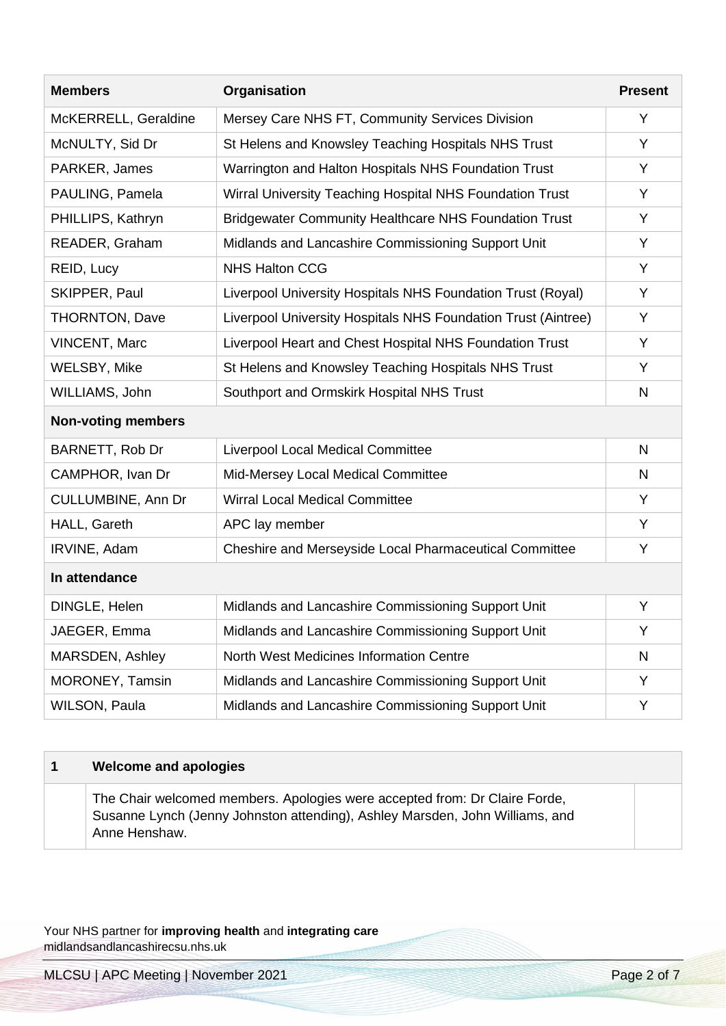| <b>Members</b>            | Organisation                                                  | <b>Present</b> |
|---------------------------|---------------------------------------------------------------|----------------|
| McKERRELL, Geraldine      | Mersey Care NHS FT, Community Services Division               | Y              |
| McNULTY, Sid Dr           | St Helens and Knowsley Teaching Hospitals NHS Trust           | Y              |
| PARKER, James             | Warrington and Halton Hospitals NHS Foundation Trust          | Y              |
| PAULING, Pamela           | Wirral University Teaching Hospital NHS Foundation Trust      | Y              |
| PHILLIPS, Kathryn         | <b>Bridgewater Community Healthcare NHS Foundation Trust</b>  | Y              |
| READER, Graham            | Midlands and Lancashire Commissioning Support Unit            | Y              |
| REID, Lucy                | <b>NHS Halton CCG</b>                                         | Υ              |
| SKIPPER, Paul             | Liverpool University Hospitals NHS Foundation Trust (Royal)   | Y              |
| <b>THORNTON, Dave</b>     | Liverpool University Hospitals NHS Foundation Trust (Aintree) | Y              |
| <b>VINCENT, Marc</b>      | Liverpool Heart and Chest Hospital NHS Foundation Trust       | Y              |
| <b>WELSBY, Mike</b>       | St Helens and Knowsley Teaching Hospitals NHS Trust           | Y              |
| WILLIAMS, John            | Southport and Ormskirk Hospital NHS Trust                     | N              |
| <b>Non-voting members</b> |                                                               |                |
| BARNETT, Rob Dr           | <b>Liverpool Local Medical Committee</b>                      | N              |
| CAMPHOR, Ivan Dr          | Mid-Mersey Local Medical Committee                            | N              |
| CULLUMBINE, Ann Dr        | <b>Wirral Local Medical Committee</b>                         | Y              |
| HALL, Gareth              | APC lay member                                                | Υ              |
| IRVINE, Adam              | Cheshire and Merseyside Local Pharmaceutical Committee        | Υ              |
| In attendance             |                                                               |                |
| DINGLE, Helen             | Midlands and Lancashire Commissioning Support Unit            | Y              |
| JAEGER, Emma              | Midlands and Lancashire Commissioning Support Unit            | Υ              |
| MARSDEN, Ashley           | North West Medicines Information Centre                       | N              |
| MORONEY, Tamsin           | Midlands and Lancashire Commissioning Support Unit            | Y              |
| <b>WILSON, Paula</b>      | Midlands and Lancashire Commissioning Support Unit            | Y              |

| Welcome and apologies                                                                                                                                                       |  |
|-----------------------------------------------------------------------------------------------------------------------------------------------------------------------------|--|
| The Chair welcomed members. Apologies were accepted from: Dr Claire Forde,<br>Susanne Lynch (Jenny Johnston attending), Ashley Marsden, John Williams, and<br>Anne Henshaw. |  |

MLCSU | APC Meeting | November 2021 Page 2 of 7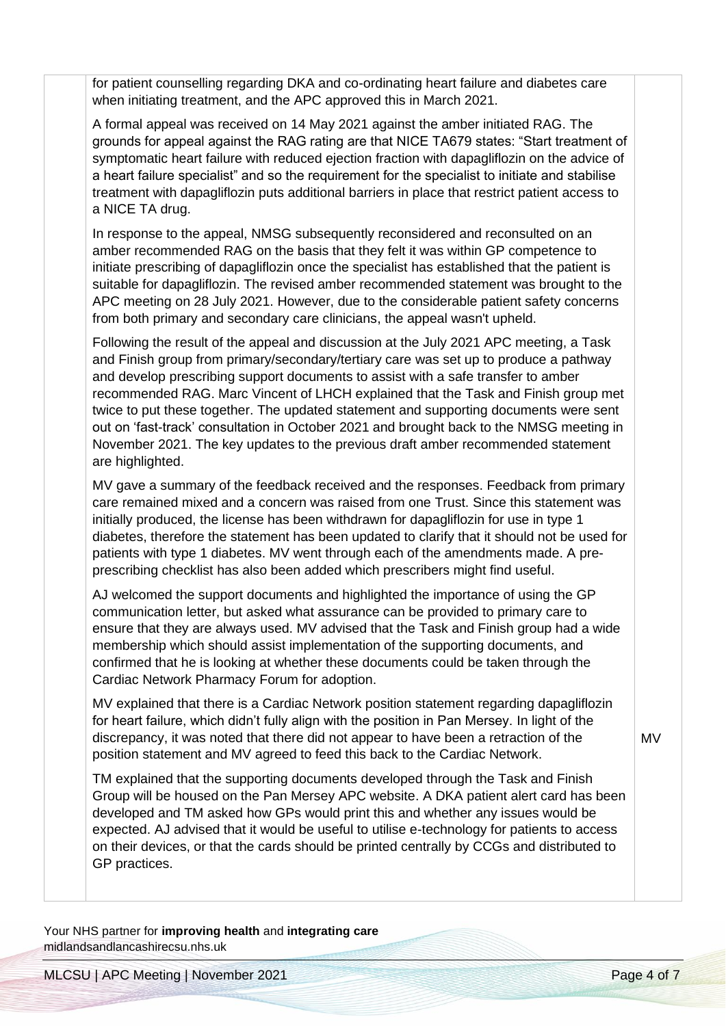for patient counselling regarding DKA and co-ordinating heart failure and diabetes care when initiating treatment, and the APC approved this in March 2021.

A formal appeal was received on 14 May 2021 against the amber initiated RAG. The grounds for appeal against the RAG rating are that NICE TA679 states: "Start treatment of symptomatic heart failure with reduced ejection fraction with dapagliflozin on the advice of a heart failure specialist" and so the requirement for the specialist to initiate and stabilise treatment with dapagliflozin puts additional barriers in place that restrict patient access to a NICE TA drug.

In response to the appeal, NMSG subsequently reconsidered and reconsulted on an amber recommended RAG on the basis that they felt it was within GP competence to initiate prescribing of dapagliflozin once the specialist has established that the patient is suitable for dapagliflozin. The revised amber recommended statement was brought to the APC meeting on 28 July 2021. However, due to the considerable patient safety concerns from both primary and secondary care clinicians, the appeal wasn't upheld.

Following the result of the appeal and discussion at the July 2021 APC meeting, a Task and Finish group from primary/secondary/tertiary care was set up to produce a pathway and develop prescribing support documents to assist with a safe transfer to amber recommended RAG. Marc Vincent of LHCH explained that the Task and Finish group met twice to put these together. The updated statement and supporting documents were sent out on 'fast-track' consultation in October 2021 and brought back to the NMSG meeting in November 2021. The key updates to the previous draft amber recommended statement are highlighted.

MV gave a summary of the feedback received and the responses. Feedback from primary care remained mixed and a concern was raised from one Trust. Since this statement was initially produced, the license has been withdrawn for dapagliflozin for use in type 1 diabetes, therefore the statement has been updated to clarify that it should not be used for patients with type 1 diabetes. MV went through each of the amendments made. A preprescribing checklist has also been added which prescribers might find useful.

AJ welcomed the support documents and highlighted the importance of using the GP communication letter, but asked what assurance can be provided to primary care to ensure that they are always used. MV advised that the Task and Finish group had a wide membership which should assist implementation of the supporting documents, and confirmed that he is looking at whether these documents could be taken through the Cardiac Network Pharmacy Forum for adoption.

MV explained that there is a Cardiac Network position statement regarding dapagliflozin for heart failure, which didn't fully align with the position in Pan Mersey. In light of the discrepancy, it was noted that there did not appear to have been a retraction of the position statement and MV agreed to feed this back to the Cardiac Network.

TM explained that the supporting documents developed through the Task and Finish Group will be housed on the Pan Mersey APC website. A DKA patient alert card has been developed and TM asked how GPs would print this and whether any issues would be expected. AJ advised that it would be useful to utilise e-technology for patients to access on their devices, or that the cards should be printed centrally by CCGs and distributed to GP practices.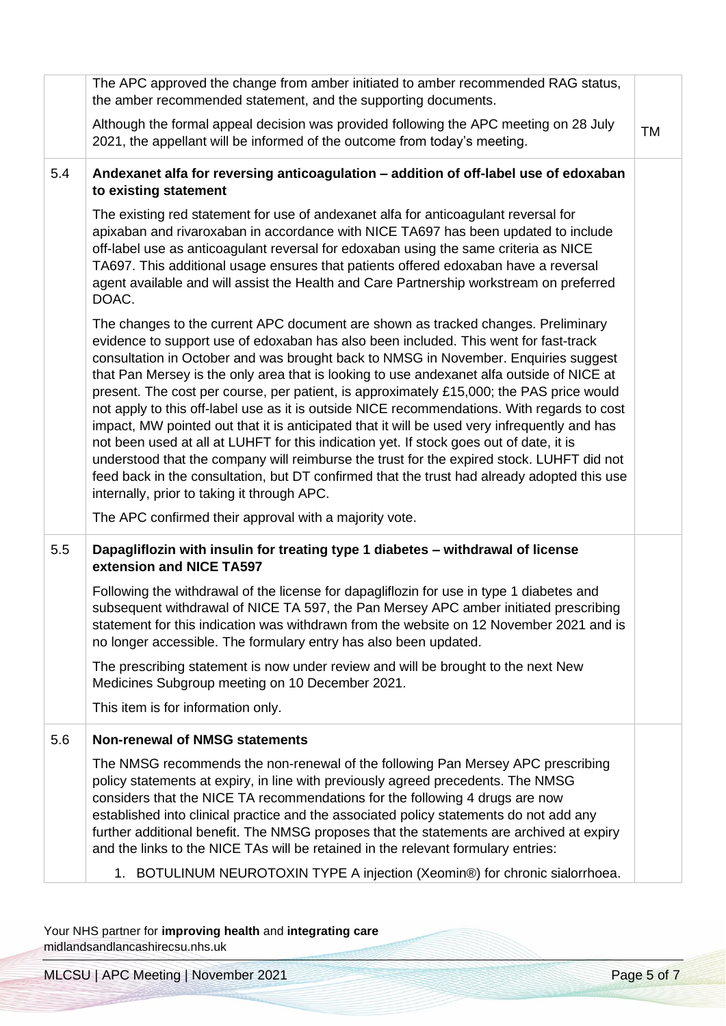|     | The APC approved the change from amber initiated to amber recommended RAG status,<br>the amber recommended statement, and the supporting documents.                                                                                                                                                                                                                                                                                                                                                                                                                                                                                                                                                                                                                                                                                                                                                                                                                                            |           |
|-----|------------------------------------------------------------------------------------------------------------------------------------------------------------------------------------------------------------------------------------------------------------------------------------------------------------------------------------------------------------------------------------------------------------------------------------------------------------------------------------------------------------------------------------------------------------------------------------------------------------------------------------------------------------------------------------------------------------------------------------------------------------------------------------------------------------------------------------------------------------------------------------------------------------------------------------------------------------------------------------------------|-----------|
|     | Although the formal appeal decision was provided following the APC meeting on 28 July<br>2021, the appellant will be informed of the outcome from today's meeting.                                                                                                                                                                                                                                                                                                                                                                                                                                                                                                                                                                                                                                                                                                                                                                                                                             | <b>TM</b> |
| 5.4 | Andexanet alfa for reversing anticoagulation - addition of off-label use of edoxaban<br>to existing statement                                                                                                                                                                                                                                                                                                                                                                                                                                                                                                                                                                                                                                                                                                                                                                                                                                                                                  |           |
|     | The existing red statement for use of andexanet alfa for anticoagulant reversal for<br>apixaban and rivaroxaban in accordance with NICE TA697 has been updated to include<br>off-label use as anticoagulant reversal for edoxaban using the same criteria as NICE<br>TA697. This additional usage ensures that patients offered edoxaban have a reversal<br>agent available and will assist the Health and Care Partnership workstream on preferred<br>DOAC.                                                                                                                                                                                                                                                                                                                                                                                                                                                                                                                                   |           |
|     | The changes to the current APC document are shown as tracked changes. Preliminary<br>evidence to support use of edoxaban has also been included. This went for fast-track<br>consultation in October and was brought back to NMSG in November. Enquiries suggest<br>that Pan Mersey is the only area that is looking to use andexanet alfa outside of NICE at<br>present. The cost per course, per patient, is approximately £15,000; the PAS price would<br>not apply to this off-label use as it is outside NICE recommendations. With regards to cost<br>impact, MW pointed out that it is anticipated that it will be used very infrequently and has<br>not been used at all at LUHFT for this indication yet. If stock goes out of date, it is<br>understood that the company will reimburse the trust for the expired stock. LUHFT did not<br>feed back in the consultation, but DT confirmed that the trust had already adopted this use<br>internally, prior to taking it through APC. |           |
|     | The APC confirmed their approval with a majority vote.                                                                                                                                                                                                                                                                                                                                                                                                                                                                                                                                                                                                                                                                                                                                                                                                                                                                                                                                         |           |
| 5.5 | Dapagliflozin with insulin for treating type 1 diabetes - withdrawal of license<br>extension and NICE TA597                                                                                                                                                                                                                                                                                                                                                                                                                                                                                                                                                                                                                                                                                                                                                                                                                                                                                    |           |
|     | Following the withdrawal of the license for dapagliflozin for use in type 1 diabetes and<br>subsequent withdrawal of NICE TA 597, the Pan Mersey APC amber initiated prescribing<br>statement for this indication was withdrawn from the website on 12 November 2021 and is<br>no longer accessible. The formulary entry has also been updated.                                                                                                                                                                                                                                                                                                                                                                                                                                                                                                                                                                                                                                                |           |
|     | The prescribing statement is now under review and will be brought to the next New<br>Medicines Subgroup meeting on 10 December 2021.                                                                                                                                                                                                                                                                                                                                                                                                                                                                                                                                                                                                                                                                                                                                                                                                                                                           |           |
|     | This item is for information only.                                                                                                                                                                                                                                                                                                                                                                                                                                                                                                                                                                                                                                                                                                                                                                                                                                                                                                                                                             |           |
| 5.6 | <b>Non-renewal of NMSG statements</b>                                                                                                                                                                                                                                                                                                                                                                                                                                                                                                                                                                                                                                                                                                                                                                                                                                                                                                                                                          |           |
|     | The NMSG recommends the non-renewal of the following Pan Mersey APC prescribing<br>policy statements at expiry, in line with previously agreed precedents. The NMSG<br>considers that the NICE TA recommendations for the following 4 drugs are now<br>established into clinical practice and the associated policy statements do not add any<br>further additional benefit. The NMSG proposes that the statements are archived at expiry<br>and the links to the NICE TAs will be retained in the relevant formulary entries:                                                                                                                                                                                                                                                                                                                                                                                                                                                                 |           |
|     | 1. BOTULINUM NEUROTOXIN TYPE A injection (Xeomin®) for chronic sialorrhoea.                                                                                                                                                                                                                                                                                                                                                                                                                                                                                                                                                                                                                                                                                                                                                                                                                                                                                                                    |           |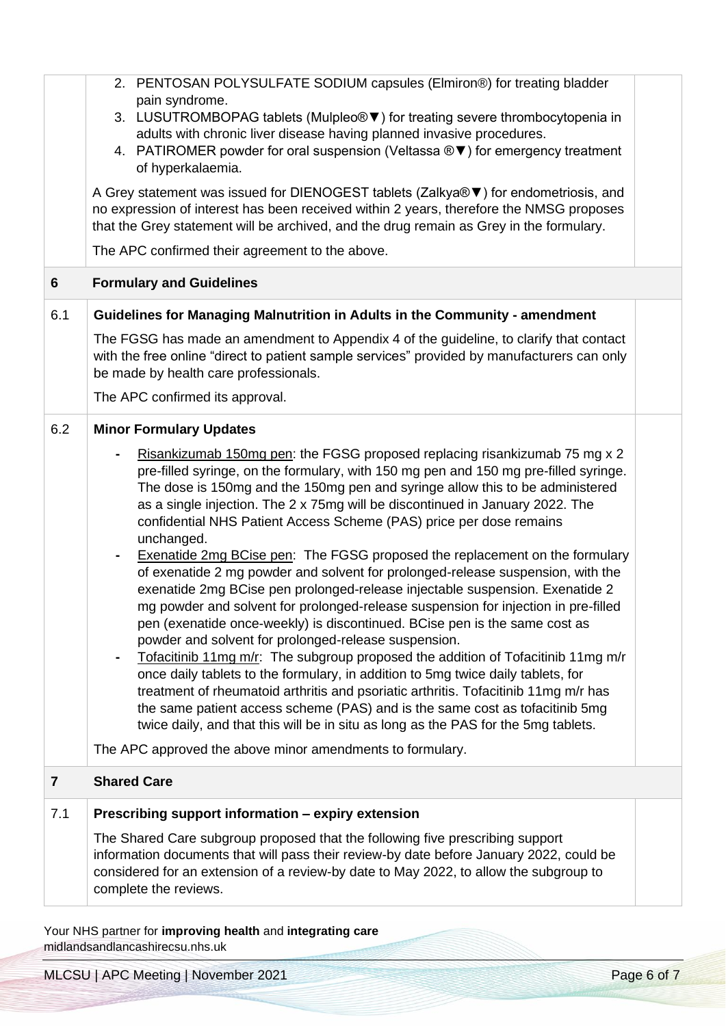|                         | 2. PENTOSAN POLYSULFATE SODIUM capsules (Elmiron®) for treating bladder<br>pain syndrome.<br>3. LUSUTROMBOPAG tablets (Mulpleo® ▼) for treating severe thrombocytopenia in<br>adults with chronic liver disease having planned invasive procedures.<br>4. PATIROMER powder for oral suspension (Veltassa ® $\blacktriangledown$ ) for emergency treatment<br>of hyperkalaemia.<br>A Grey statement was issued for DIENOGEST tablets (Zalkya® ▼) for endometriosis, and<br>no expression of interest has been received within 2 years, therefore the NMSG proposes<br>that the Grey statement will be archived, and the drug remain as Grey in the formulary.<br>The APC confirmed their agreement to the above.                                                                                                                                                                                                                                                                                                                                                                                                                                                                                                                                                                                                                                                                                                                             |  |
|-------------------------|---------------------------------------------------------------------------------------------------------------------------------------------------------------------------------------------------------------------------------------------------------------------------------------------------------------------------------------------------------------------------------------------------------------------------------------------------------------------------------------------------------------------------------------------------------------------------------------------------------------------------------------------------------------------------------------------------------------------------------------------------------------------------------------------------------------------------------------------------------------------------------------------------------------------------------------------------------------------------------------------------------------------------------------------------------------------------------------------------------------------------------------------------------------------------------------------------------------------------------------------------------------------------------------------------------------------------------------------------------------------------------------------------------------------------------------------|--|
| 6                       | <b>Formulary and Guidelines</b>                                                                                                                                                                                                                                                                                                                                                                                                                                                                                                                                                                                                                                                                                                                                                                                                                                                                                                                                                                                                                                                                                                                                                                                                                                                                                                                                                                                                             |  |
| 6.1                     | Guidelines for Managing Malnutrition in Adults in the Community - amendment                                                                                                                                                                                                                                                                                                                                                                                                                                                                                                                                                                                                                                                                                                                                                                                                                                                                                                                                                                                                                                                                                                                                                                                                                                                                                                                                                                 |  |
|                         | The FGSG has made an amendment to Appendix 4 of the guideline, to clarify that contact<br>with the free online "direct to patient sample services" provided by manufacturers can only<br>be made by health care professionals.                                                                                                                                                                                                                                                                                                                                                                                                                                                                                                                                                                                                                                                                                                                                                                                                                                                                                                                                                                                                                                                                                                                                                                                                              |  |
|                         | The APC confirmed its approval.                                                                                                                                                                                                                                                                                                                                                                                                                                                                                                                                                                                                                                                                                                                                                                                                                                                                                                                                                                                                                                                                                                                                                                                                                                                                                                                                                                                                             |  |
| 6.2                     | <b>Minor Formulary Updates</b><br>Risankizumab 150mg pen: the FGSG proposed replacing risankizumab 75 mg x 2<br>pre-filled syringe, on the formulary, with 150 mg pen and 150 mg pre-filled syringe.<br>The dose is 150mg and the 150mg pen and syringe allow this to be administered<br>as a single injection. The 2 x 75mg will be discontinued in January 2022. The<br>confidential NHS Patient Access Scheme (PAS) price per dose remains<br>unchanged.<br>Exenatide 2mg BCise pen: The FGSG proposed the replacement on the formulary<br>of exenatide 2 mg powder and solvent for prolonged-release suspension, with the<br>exenatide 2mg BCise pen prolonged-release injectable suspension. Exenatide 2<br>mg powder and solvent for prolonged-release suspension for injection in pre-filled<br>pen (exenatide once-weekly) is discontinued. BCise pen is the same cost as<br>powder and solvent for prolonged-release suspension.<br>Tofacitinib 11mg m/r: The subgroup proposed the addition of Tofacitinib 11mg m/r<br>once daily tablets to the formulary, in addition to 5mg twice daily tablets, for<br>treatment of rheumatoid arthritis and psoriatic arthritis. Tofacitinib 11mg m/r has<br>the same patient access scheme (PAS) and is the same cost as tofacitinib 5mg<br>twice daily, and that this will be in situ as long as the PAS for the 5mg tablets.<br>The APC approved the above minor amendments to formulary. |  |
| $\overline{\mathbf{r}}$ | <b>Shared Care</b>                                                                                                                                                                                                                                                                                                                                                                                                                                                                                                                                                                                                                                                                                                                                                                                                                                                                                                                                                                                                                                                                                                                                                                                                                                                                                                                                                                                                                          |  |
| 7.1                     | Prescribing support information - expiry extension                                                                                                                                                                                                                                                                                                                                                                                                                                                                                                                                                                                                                                                                                                                                                                                                                                                                                                                                                                                                                                                                                                                                                                                                                                                                                                                                                                                          |  |
|                         | The Shared Care subgroup proposed that the following five prescribing support<br>information documents that will pass their review-by date before January 2022, could be<br>considered for an extension of a review-by date to May 2022, to allow the subgroup to<br>complete the reviews.                                                                                                                                                                                                                                                                                                                                                                                                                                                                                                                                                                                                                                                                                                                                                                                                                                                                                                                                                                                                                                                                                                                                                  |  |
|                         | Your NHS partner for improving health and integrating care                                                                                                                                                                                                                                                                                                                                                                                                                                                                                                                                                                                                                                                                                                                                                                                                                                                                                                                                                                                                                                                                                                                                                                                                                                                                                                                                                                                  |  |

midlandsandlancashirecsu.nhs.uk